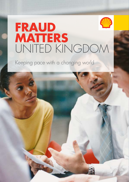## **FRAUD MATTERS** UNITED KINGDOM

Keeping pace with a changing world

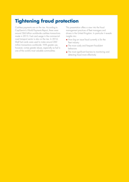## **Tightening fraud protection**

Cashless payments are on the rise. According to CapGemini's World Payments Report, there were around 366 billion worldwide cashless transactions made in 2013. Fuel card usage in the commercial road transport sector is also on the rise. In 2014, Shell fuel cards were used to make around 260 million transactions worldwide. With greater use, however, comes greater abuse, especially as fuel is one of the world's most valuable commodities.

This presentation offers a view into the fraud management practices of fleet managers and drivers in the United Kingdom. In particular it reveals insights into:

- **How big an issue fraud currently is for the** fleet industry
- **The most costly and frequent fraudulent** behaviors
- **The most significant barriers to monitoring and** detecting fraud more effectively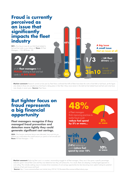#### **Fraud is currently perceived as an issue that significantly impacts the fleet industry Q21.** How big an issue do you think fraud related to fuel and fuel cards in your industry is? **Base:** All Fleet Managers – 110; All Drivers - 50. of UK **fleet managers** think **AUD** relating to fuel and fuel cards is **A BIG ISSUE 2/3** consider it an issue at all **65% 24% 34% 38% 28% A big issue A small issue Not an issue at all 1/3** of **UK fleet drivers** agree  **but 3 in10**

**Market comment:** Research carried out last year by Fleet News confirmed that 64% of fleets have been the victim of fuel theft or fuel fraud, yet this figure only relates to those who actually know that fraud is taking place in their fleet. Many more remain in the dark but fuel related fraud and fuel card crime have risen sharply in recent years. **Source:** Fleet News

#### **48% But tighter focus on fraud represents a big financial opportunity**

**Fleet managers recognize if they managed fraud prevention and detection more tightly they could generate significant cost savings.**

**Q34.** If the barriers mentioned above were alleviated, how much do you believe you could reduce the overall amount you spend on fuel annually by? **Base:** All Fleet Managers – 110.



**Market comment:** Reducing fleet costs is a constant, never-ending struggle for all fleet managers. Many are in fact given a specific percentage reduction goal in annual fleet costs and they must determine how they will achieve this. As a result, fleets are adopting a multi-pronged approach to cost cutting. This includes seeking ways to increase driver awareness of cost savings opportunities but also becoming more vigilant looking for potential instances of fuel card misuse and fraud.

**Source:** http://www.automotive-fleet.com/article/story/2014/10/the-state-of-the-commercial-fleet-industry.aspx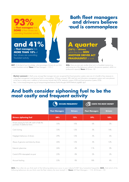

**Q27.** To the best of your knowledge, what percentage of drivers do you think conduct fraudulent activity? **Base:** All Fleet Managers – 110 //

# **Both fleet managers**



**Q26.** Have you ever seen another driver act in a fraudulent manner (e.g. performing any of the behaviours outlined in the previous question), whilst in a professional capacity? **Base:** All Drivers - 50

**Market comment:** A Shell survey amongst fleet managers last year recognised that fraud prevention systems were one of a handful of key measures to cutting fleet management costs because fraud is commonplace. Of those surveyed, 58% cited fuel card information management systems and route planners as the key to cutting costs in addition to fuel economy formula fuels (37%), telematics systems (32%) and fraud prevention systems (32%): http://www.transportengineer.org.uk/transport-engineer-features/fuel-for-thought/60997#sthash.pIglbBEi.dpuf

### **And both consider siphoning fuel to be the most costly and frequent activity**

|                                                                               | <b>OCCURS FREQUENTLY</b> |                | <b>COSTS THE MOST MONEY</b> |                |
|-------------------------------------------------------------------------------|--------------------------|----------------|-----------------------------|----------------|
|                                                                               | <b>Fleet Managers</b>    | <b>Drivers</b> | <b>Fleet Managers</b>       | <b>Drivers</b> |
| <b>Drivers siphoning fuel</b>                                                 | 34%                      | 12%            | 19%                         | 10%            |
| Drivers paying for fuel with cash to hide the<br>purchase of additional items | 3.5%                     | 10%            | 6%                          | O%             |
| Card cloning                                                                  | 33%                      | 12%            | 5%                          | 14%            |
| Negligent behaviour of drivers                                                | 29%                      | 12%            | 3%                          | 6%             |
| Abuse of genuine card done by drivers                                         | 26%                      | 12%            | 3%                          | 12%            |
| External cybercrime                                                           | 26%                      | 4%             | 11%                         | $O\%$          |
| Cards & PIN intercepted via post                                              | 2.5%                     | 8%             | 2%                          | 2%             |
| Account hacking                                                               | 23%                      | 8%             | 18%                         | 8%             |

**Q23.** How often do you think each of the following behaviours occur in your industry? [NET Very/somewhat frequently]; **Q24.** And which of the following behaviours do you think costs the fleet industry the most money? // **Base:** All Fleet Managers – 110; All Drivers – 50.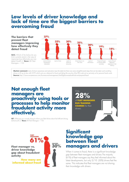#### **Low levels of driver knowledge and lack of time are the biggest barriers to overcoming fraud**

#### **The barriers that prevent fleet managers improving how effectively they detect fraud**

**Q33.** Which of the below do you think currently stand in the way of improving how effectively you can detect fraud? // **Base:** All Fleet Managers – 110



**Market comment:** Lack of driver awareness and education tops the table but there are some straightforward steps that can be taken such as telling drivers to fill up at sites with CCTV which acts as a deterrent to fraud and taking the security of the PIN code just as seriously as for personal bank cards **Source:** http://www.europeanceo.com/business-and-management/shell-fights-to-eradicate-fuel-card-payment-fraud

#### **Not enough fleet managers are proactively using tools or processes to help monitor fraudulent activity more effectively.**

**Q7.** What are you currently doing to inform your fleet drivers about fuel efficient driving behaviours? // **Base:** All Fleet Managers – 110.





#### **Significant knowledge gap between fleet managers and drivers**

When it comes to fraud, there is a significant knowledge gap between fleet managers and drivers.The majority (61%) of fleet managers say they feel informed about the latest developments, but only 3/10 (30%) drivers feel the same. This indicates that fleet managers are not sharing their knowledge with drivers.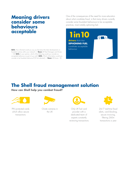#### **Meaning drivers consider some behaviours acceptable**

**Q32.** How informed would you say you feel about the latest developments on fraudulent activity within your industry? // **Base:** All Fleet Managers and Drivers – 160 **Q25.** In your opinion, which of the following would you consider as acceptable behaviour as part of your job?; **Q20.** Which of the below would you consider to be fraudulent behaviour? [% Not selected] // **Base:** All Drivers - 50

One of the consequences of the need for more education about what constitutes fraud, is that many drivers currently consider some fraudulent behaviours to be acceptable practices, most notably siphoning fuel.

**drivers** think that **SIPHONING FUEL**  constitutes acceptable behaviour **1in10**



## **The Shell fraud management solution**

#### **How can Shell help you combat fraud?**



PIN protected cards which allow secure transactions



Onsite cameras in the UK



Only UK fuel card provider with a dedicated team of experts constantly reviewing transactions



24/7 real-time fraud alerts, card blocking, secure invoicing, filtering 260m transactions a year